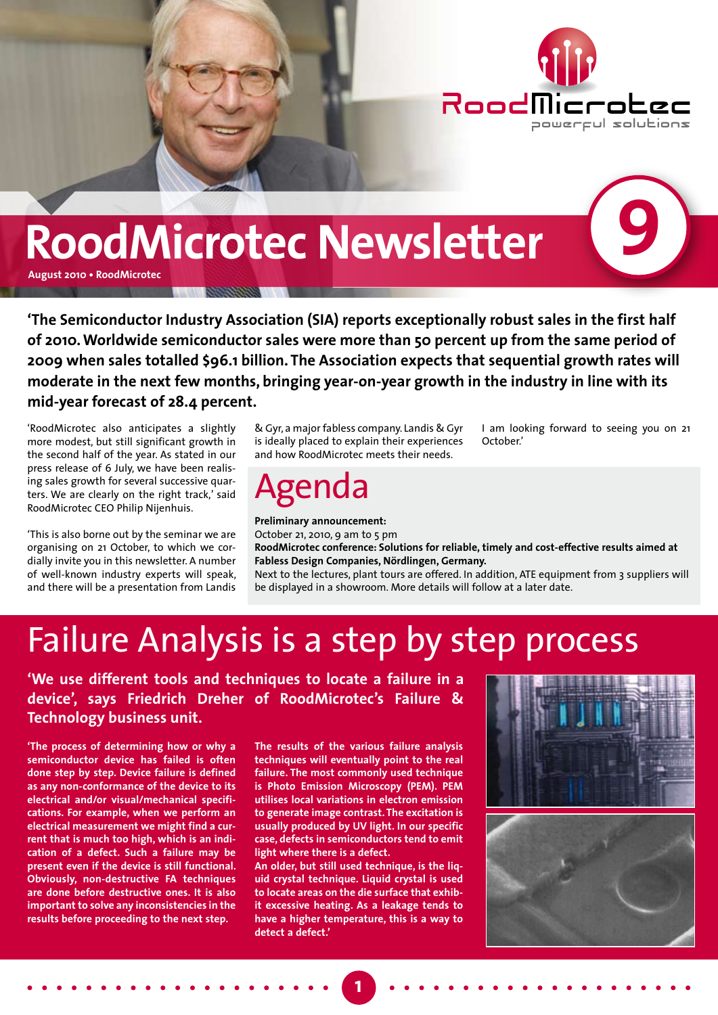

**9**

## **RoodMicrotec Newsletter**

**August 2010 • RoodMicrotec**

**'The Semiconductor Industry Association (SIA) reports exceptionally robust sales in the first half of 2010. Worldwide semiconductor sales were more than 50 percent up from the same period of 2009 when sales totalled \$96.1 billion. The Association expects that sequential growth rates will moderate in the next few months, bringing year-on-year growth in the industry in line with its mid-year forecast of 28.4 percent.**

'RoodMicrotec also anticipates a slightly more modest, but still significant growth in the second half of the year. As stated in our press release of 6 July, we have been realising sales growth for several successive quarters. We are clearly on the right track,' said RoodMicrotec CEO Philip Nijenhuis.

'This is also borne out by the seminar we are organising on 21 October, to which we cordially invite you in this newsletter. A number of well-known industry experts will speak, and there will be a presentation from Landis

& Gyr, a major fabless company. Landis & Gyr is ideally placed to explain their experiences and how RoodMicrotec meets their needs.

### Agenda

**Preliminary announcement:**  October 21, 2010, 9 am to 5 pm **RoodMicrotec conference: Solutions for reliable, timely and cost-effective results aimed at Fabless Design Companies, Nördlingen, Germany.**  Next to the lectures, plant tours are offered. In addition, ATE equipment from 3 suppliers will be displayed in a showroom. More details will follow at a later date.

October.'

## Failure Analysis is a step by step process

**'We use different tools and techniques to locate a failure in a device', says Friedrich Dreher of RoodMicrotec's Failure & Technology business unit.**

**'The process of determining how or why a semiconductor device has failed is often done step by step. Device failure is defined as any non-conformance of the device to its electrical and/or visual/mechanical specifications. For example, when we perform an electrical measurement we might find a current that is much too high, which is an indication of a defect. Such a failure may be present even if the device is still functional. Obviously, non-destructive FA techniques are done before destructive ones. It is also important to solve any inconsistencies in the results before proceeding to the next step.** 

**The results of the various failure analysis techniques will eventually point to the real failure. The most commonly used technique is Photo Emission Microscopy (PEM). PEM utilises local variations in electron emission to generate image contrast. The excitation is usually produced by UV light. In our specific case, defects in semiconductors tend to emit light where there is a defect.** 

**An older, but still used technique, is the liquid crystal technique. Liquid crystal is used to locate areas on the die surface that exhibit excessive heating. As a leakage tends to have a higher temperature, this is a way to detect a defect.'**

**1**



I am looking forward to seeing you on 21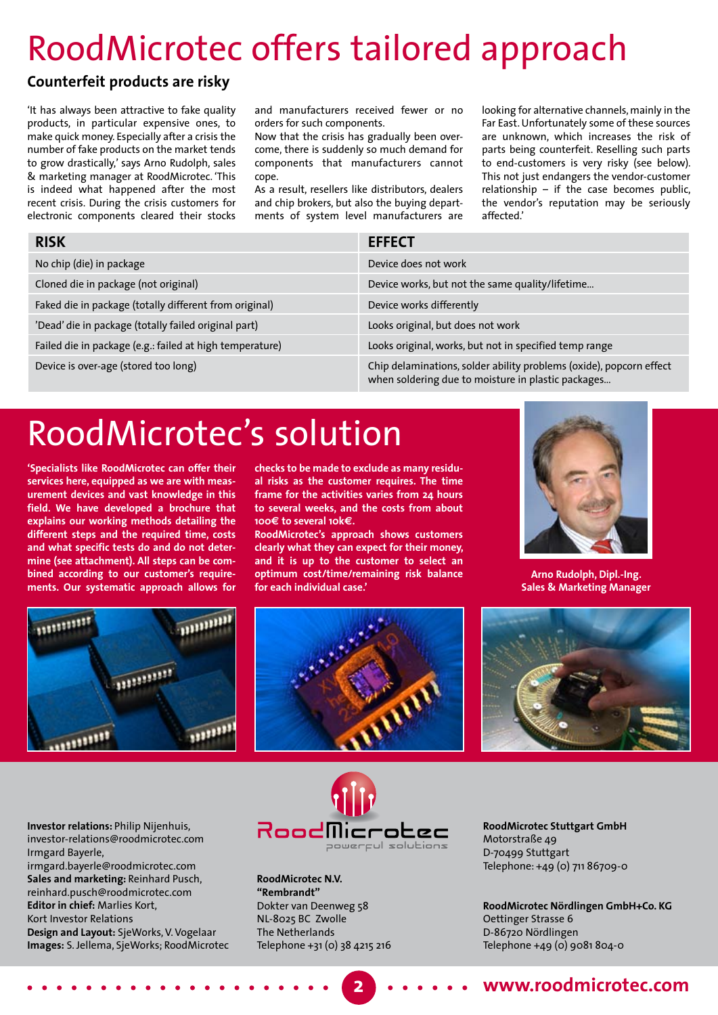## RoodMicrotec offers tailored approach

#### **Counterfeit products are risky**

'It has always been attractive to fake quality products, in particular expensive ones, to make quick money. Especially after a crisis the number of fake products on the market tends to grow drastically,' says Arno Rudolph, sales & marketing manager at RoodMicrotec. 'This is indeed what happened after the most recent crisis. During the crisis customers for electronic components cleared their stocks

and manufacturers received fewer or no orders for such components.

Now that the crisis has gradually been overcome, there is suddenly so much demand for components that manufacturers cannot cope.

As a result, resellers like distributors, dealers and chip brokers, but also the buying departments of system level manufacturers are looking for alternative channels, mainly in the Far East. Unfortunately some of these sources are unknown, which increases the risk of parts being counterfeit. Reselling such parts to end-customers is very risky (see below). This not just endangers the vendor-customer relationship – if the case becomes public, the vendor's reputation may be seriously affected.'

| <b>RISK</b>                                              | <b>EFFECT</b>                                                                                                             |
|----------------------------------------------------------|---------------------------------------------------------------------------------------------------------------------------|
| No chip (die) in package                                 | Device does not work                                                                                                      |
| Cloned die in package (not original)                     | Device works, but not the same quality/lifetime                                                                           |
| Faked die in package (totally different from original)   | Device works differently                                                                                                  |
| 'Dead' die in package (totally failed original part)     | Looks original, but does not work                                                                                         |
| Failed die in package (e.g.: failed at high temperature) | Looks original, works, but not in specified temp range                                                                    |
| Device is over-age (stored too long)                     | Chip delaminations, solder ability problems (oxide), popcorn effect<br>when soldering due to moisture in plastic packages |

## RoodMicrotec's solution

**'Specialists like RoodMicrotec can offer their services here, equipped as we are with measurement devices and vast knowledge in this field. We have developed a brochure that explains our working methods detailing the different steps and the required time, costs and what specific tests do and do not determine (see attachment). All steps can be combined according to our customer's requirements. Our systematic approach allows for** 

**checks to be made to exclude as many residual risks as the customer requires. The time frame for the activities varies from 24 hours to several weeks, and the costs from about 100e to several 10ke.** 

**RoodMicrotec's approach shows customers clearly what they can expect for their money, and it is up to the customer to select an optimum cost/time/remaining risk balance for each individual case.'**



**Arno Rudolph, Dipl.-Ing. Sales & Marketing Manager**







**Investor relations:** Philip Nijenhuis, investor-relations@roodmicrotec.com Irmgard Bayerle, irmgard.bayerle@roodmicrotec.com **Sales and marketing:** Reinhard Pusch, reinhard.pusch@roodmicrotec.com **Editor in chief:** Marlies Kort, Kort Investor Relations

**Design and Layout:** SjeWorks, V. Vogelaar **Images:** S. Jellema, SjeWorks; RoodMicrotec



**2**

**RoodMicrotec N.V. "Rembrandt"** Dokter van Deenweg 58 NL-8025 BC Zwolle The Netherlands Telephone +31 (0) 38 4215 216 **RoodMicrotec Stuttgart GmbH**  Motorstraße 49 D-70499 Stuttgart Telephone: +49 (0) 711 86709-0

**RoodMicrotec Nördlingen GmbH+Co. KG** Oettinger Strasse 6 D-86720 Nördlingen Telephone +49 (0) 9081 804-0

#### **www.roodmicrotec.com**